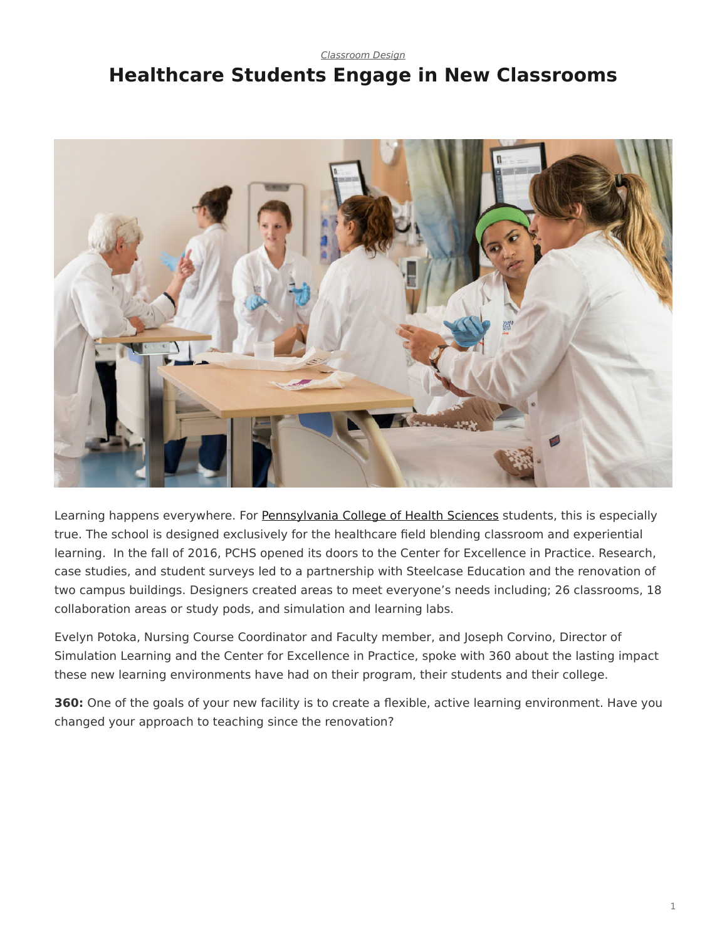*[Classroom Design](https://www.steelcase.com/research/topics/classroom-design/)*

## <span id="page-0-0"></span>**Healthcare Students Engage in New Classrooms**



Learning happens everywhere. For [Pennsylvania College of Health Sciences](http://www.pacollege.edu/) students, this is especially true. The school is designed exclusively for the healthcare field blending classroom and experiential learning. In the fall of 2016, PCHS opened its doors to the Center for Excellence in Practice. Research, case studies, and student surveys led to a partnership with Steelcase Education and the renovation of two campus buildings. Designers created areas to meet everyone's needs including; 26 classrooms, 18 collaboration areas or study pods, and simulation and learning labs.

Evelyn Potoka, Nursing Course Coordinator and Faculty member, and Joseph Corvino, Director of Simulation Learning and the Center for Excellence in Practice, spoke with 360 about the lasting impact these new learning environments have had on their program, their students and their college.

**360:** One of the goals of your new facility is to create a flexible, active learning environment. Have you changed your approach to teaching since the renovation?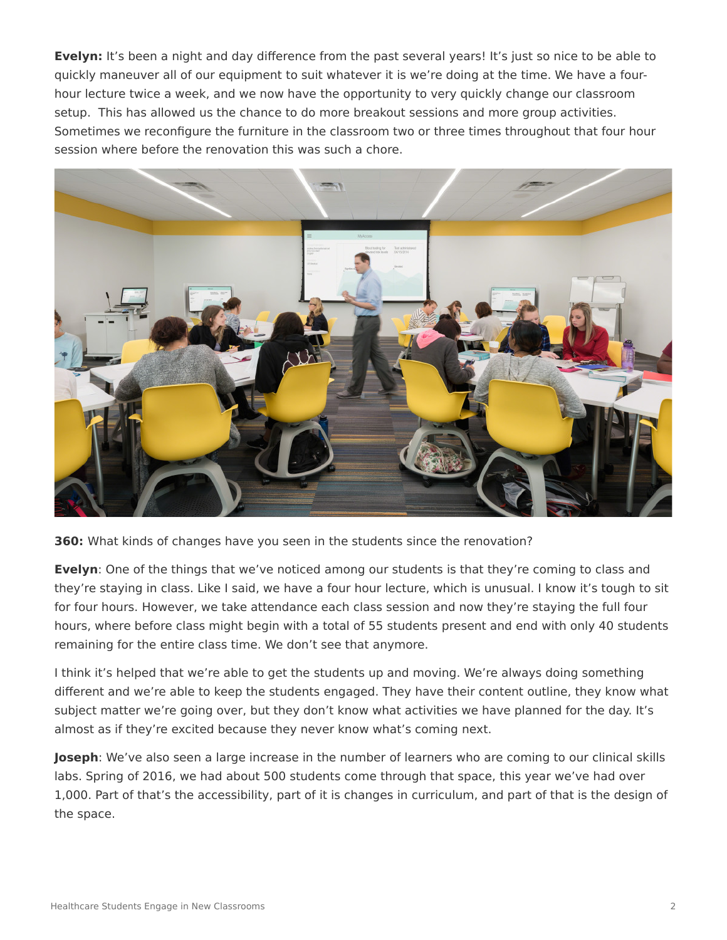**Evelyn:** It's been a night and day difference from the past several years! It's just so nice to be able to quickly maneuver all of our equipment to suit whatever it is we're doing at the time. We have a fourhour lecture twice a week, and we now have the opportunity to very quickly change our classroom setup. This has allowed us the chance to do more breakout sessions and more group activities. Sometimes we reconfigure the furniture in the classroom two or three times throughout that four hour session where before the renovation this was such a chore.



**360:** What kinds of changes have you seen in the students since the renovation?

**Evelyn**: One of the things that we've noticed among our students is that they're coming to class and they're staying in class. Like I said, we have a four hour lecture, which is unusual. I know it's tough to sit for four hours. However, we take attendance each class session and now they're staying the full four hours, where before class might begin with a total of 55 students present and end with only 40 students remaining for the entire class time. We don't see that anymore.

I think it's helped that we're able to get the students up and moving. We're always doing something different and we're able to keep the students engaged. They have their content outline, they know what subject matter we're going over, but they don't know what activities we have planned for the day. It's almost as if they're excited because they never know what's coming next.

**Joseph**: We've also seen a large increase in the number of learners who are coming to our clinical skills labs. Spring of 2016, we had about 500 students come through that space, this year we've had over 1,000. Part of that's the accessibility, part of it is changes in curriculum, and part of that is the design of the space.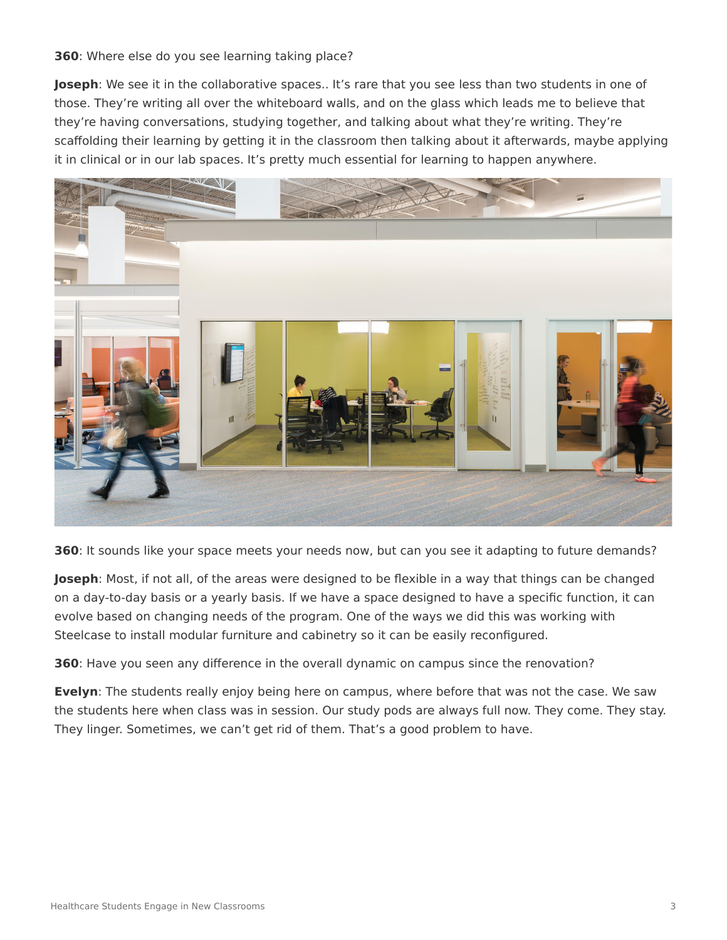## **360**: Where else do you see learning taking place?

**Joseph**: We see it in the collaborative spaces.. It's rare that you see less than two students in one of those. They're writing all over the whiteboard walls, and on the glass which leads me to believe that they're having conversations, studying together, and talking about what they're writing. They're scaffolding their learning by getting it in the classroom then talking about it afterwards, maybe applying it in clinical or in our lab spaces. It's pretty much essential for learning to happen anywhere.



**360**: It sounds like your space meets your needs now, but can you see it adapting to future demands?

**Joseph**: Most, if not all, of the areas were designed to be flexible in a way that things can be changed on a day-to-day basis or a yearly basis. If we have a space designed to have a specific function, it can evolve based on changing needs of the program. One of the ways we did this was working with Steelcase to install modular furniture and cabinetry so it can be easily reconfigured.

**360**: Have you seen any difference in the overall dynamic on campus since the renovation?

**Evelyn**: The students really enjoy being here on campus, where before that was not the case. We saw the students here when class was in session. Our study pods are always full now. They come. They stay. They linger. Sometimes, we can't get rid of them. That's a good problem to have.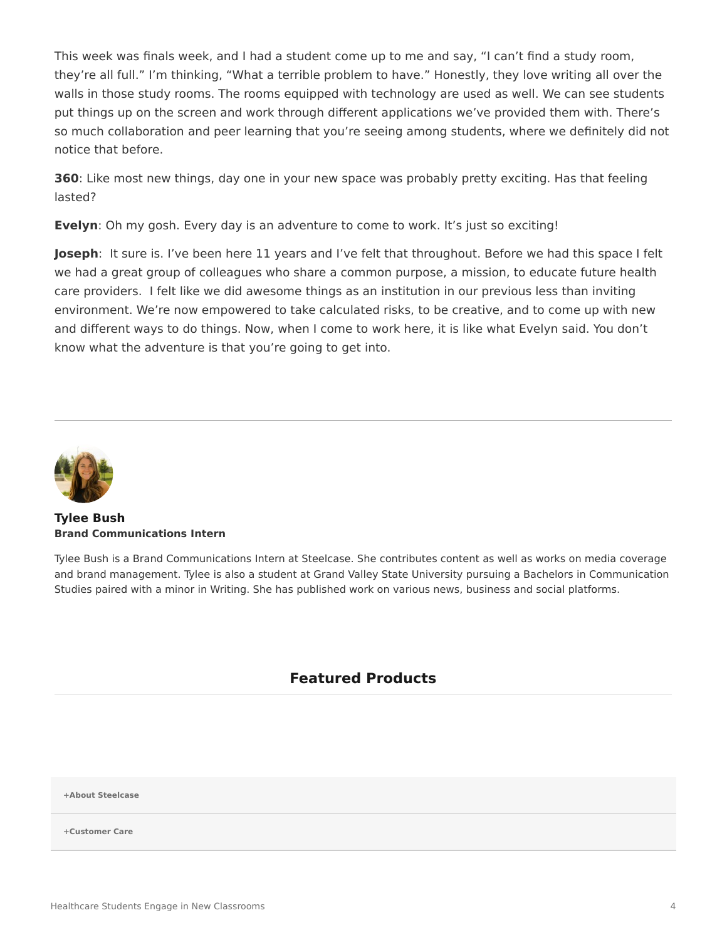This week was finals week, and I had a student come up to me and say, "I can't find a study room, they're all full." I'm thinking, "What a terrible problem to have." Honestly, they love writing all over the walls in those study rooms. The rooms equipped with technology are used as well. We can see students put things up on the screen and work through different applications we've provided them with. There's so much collaboration and peer learning that you're seeing among students, where we definitely did not notice that before.

**360**: Like most new things, day one in your new space was probably pretty exciting. Has that feeling lasted?

**Evelyn**: Oh my gosh. Every day is an adventure to come to work. It's just so exciting!

**Joseph**: It sure is. I've been here 11 years and I've felt that throughout. Before we had this space I felt we had a great group of colleagues who share a common purpose, a mission, to educate future health care providers. I felt like we did awesome things as an institution in our previous less than inviting environment. We're now empowered to take calculated risks, to be creative, and to come up with new and different ways to do things. Now, when I come to work here, it is like what Evelyn said. You don't know what the adventure is that you're going to get into.



**[Tylee Bush](https://www.steelcase.com/research/articles/author/tbush1steelcase-com/) Brand Communications Intern**

Tylee Bush is a Brand Communications Intern at Steelcase. She contributes content as well as works on media coverage and brand management. Tylee is also a student at Grand Valley State University pursuing a Bachelors in Communication Studies paired with a minor in Writing. She has published work on various news, business and social platforms.

## **Featured Products**

**[+About Steelcase](https://www.steelcase.com/discover/steelcase/our-company/)**

**[+Customer Care](#page-0-0)**